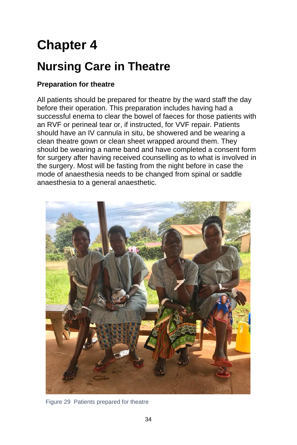# **Chapter 4**

# **Nursing Care in Theatre**

# **Preparation for theatre**

All patients should be prepared for theatre by the ward staff the day before their operation. This preparation includes having had a successful enema to clear the bowel of faeces for those patients with an RVF or perineal tear or, if instructed, for VVF repair. Patients should have an IV cannula in situ, be showered and be wearing a clean theatre gown or clean sheet wrapped around them. They should be wearing a name band and have completed a consent form for surgery after having received counselling as to what is involved in the surgery. Most will be fasting from the night before in case the mode of anaesthesia needs to be changed from spinal or saddle anaesthesia to a general anaesthetic.



Figure 29 Patients prepared for theatre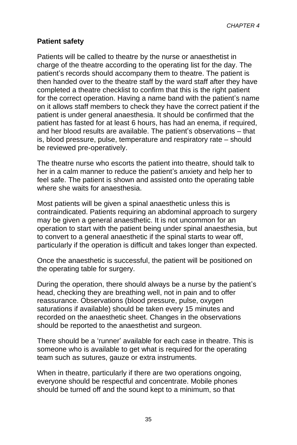# **Patient safety**

Patients will be called to theatre by the nurse or anaesthetist in charge of the theatre according to the operating list for the day. The patient's records should accompany them to theatre. The patient is then handed over to the theatre staff by the ward staff after they have completed a theatre checklist to confirm that this is the right patient for the correct operation. Having a name band with the patient's name on it allows staff members to check they have the correct patient if the patient is under general anaesthesia. It should be confirmed that the patient has fasted for at least 6 hours, has had an enema, if required, and her blood results are available. The patient's observations – that is, blood pressure, pulse, temperature and respiratory rate – should be reviewed pre-operatively.

The theatre nurse who escorts the patient into theatre, should talk to her in a calm manner to reduce the patient's anxiety and help her to feel safe. The patient is shown and assisted onto the operating table where she waits for anaesthesia.

Most patients will be given a spinal anaesthetic unless this is contraindicated. Patients requiring an abdominal approach to surgery may be given a general anaesthetic. It is not uncommon for an operation to start with the patient being under spinal anaesthesia, but to convert to a general anaesthetic if the spinal starts to wear off, particularly if the operation is difficult and takes longer than expected.

Once the anaesthetic is successful, the patient will be positioned on the operating table for surgery.

During the operation, there should always be a nurse by the patient's head, checking they are breathing well, not in pain and to offer reassurance. Observations (blood pressure, pulse, oxygen saturations if available) should be taken every 15 minutes and recorded on the anaesthetic sheet. Changes in the observations should be reported to the anaesthetist and surgeon.

There should be a 'runner' available for each case in theatre. This is someone who is available to get what is required for the operating team such as sutures, gauze or extra instruments.

When in theatre, particularly if there are two operations ongoing, everyone should be respectful and concentrate. Mobile phones should be turned off and the sound kept to a minimum, so that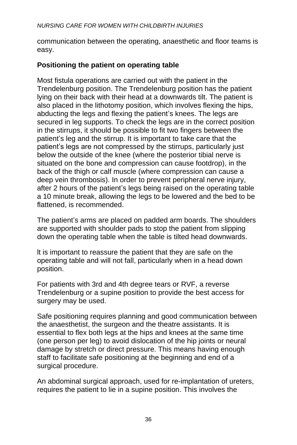communication between the operating, anaesthetic and floor teams is easy.

# **Positioning the patient on operating table**

Most fistula operations are carried out with the patient in the Trendelenburg position. The Trendelenburg position has the patient lying on their back with their head at a downwards tilt. The patient is also placed in the lithotomy position, which involves flexing the hips, abducting the legs and flexing the patient's knees. The legs are secured in leg supports. To check the legs are in the correct position in the stirrups, it should be possible to fit two fingers between the patient's leg and the stirrup. It is important to take care that the patient's legs are not compressed by the stirrups, particularly just below the outside of the knee (where the posterior tibial nerve is situated on the bone and compression can cause footdrop), in the back of the thigh or calf muscle (where compression can cause a deep vein thrombosis). In order to prevent peripheral nerve injury, after 2 hours of the patient's legs being raised on the operating table a 10 minute break, allowing the legs to be lowered and the bed to be flattened, is recommended.

The patient's arms are placed on padded arm boards. The shoulders are supported with shoulder pads to stop the patient from slipping down the operating table when the table is tilted head downwards.

lt is important to reassure the patient that they are safe on the operating table and will not fall, particularly when in a head down position.

For patients with 3rd and 4th degree tears or RVF, a reverse Trendelenburg or a supine position to provide the best access for surgery may be used.

Safe positioning requires planning and good communication between the anaesthetist, the surgeon and the theatre assistants. It is essential to flex both legs at the hips and knees at the same time (one person per leg) to avoid dislocation of the hip joints or neural damage by stretch or direct pressure. This means having enough staff to facilitate safe positioning at the beginning and end of a surgical procedure.

An abdominal surgical approach, used for re-implantation of ureters, requires the patient to lie in a supine position. This involves the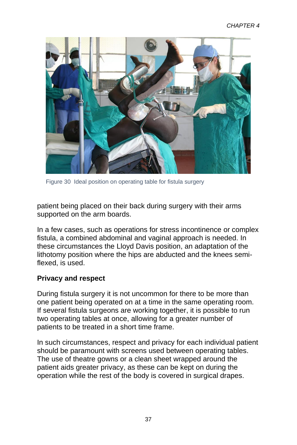

Figure 30 Ideal position on operating table for fistula surgery

patient being placed on their back during surgery with their arms supported on the arm boards.

In a few cases, such as operations for stress incontinence or complex fistula, a combined abdominal and vaginal approach is needed. In these circumstances the Lloyd Davis position, an adaptation of the lithotomy position where the hips are abducted and the knees semiflexed, is used.

#### **Privacy and respect**

During fistula surgery it is not uncommon for there to be more than one patient being operated on at a time in the same operating room. If several fistula surgeons are working together, it is possible to run two operating tables at once, allowing for a greater number of patients to be treated in a short time frame.

In such circumstances, respect and privacy for each individual patient should be paramount with screens used between operating tables. The use of theatre gowns or a clean sheet wrapped around the patient aids greater privacy, as these can be kept on during the operation while the rest of the body is covered in surgical drapes.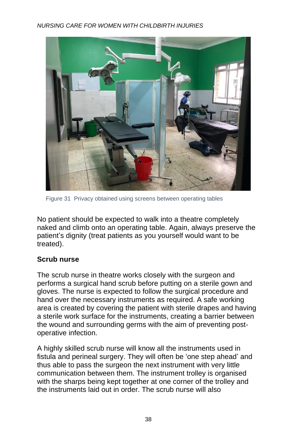

Figure 31 Privacy obtained using screens between operating tables

No patient should be expected to walk into a theatre completely naked and climb onto an operating table. Again, always preserve the patient's dignity (treat patients as you yourself would want to be treated).

# **Scrub nurse**

The scrub nurse in theatre works closely with the surgeon and performs a surgical hand scrub before putting on a sterile gown and gloves. The nurse is expected to follow the surgical procedure and hand over the necessary instruments as required. A safe working area is created by covering the patient with sterile drapes and having a sterile work surface for the instruments, creating a barrier between the wound and surrounding germs with the aim of preventing postoperative infection.

A highly skilled scrub nurse will know all the instruments used in fistula and perineal surgery. They will often be 'one step ahead' and thus able to pass the surgeon the next instrument with very little communication between them. The instrument trolley is organised with the sharps being kept together at one corner of the trolley and the instruments laid out in order. The scrub nurse will also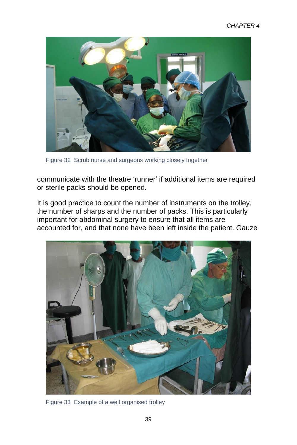

Figure 32 Scrub nurse and surgeons working closely together

communicate with the theatre 'runner' if additional items are required or sterile packs should be opened.

It is good practice to count the number of instruments on the trolley, the number of sharps and the number of packs. This is particularly important for abdominal surgery to ensure that all items are accounted for, and that none have been left inside the patient. Gauze



Figure 33 Example of a well organised trolley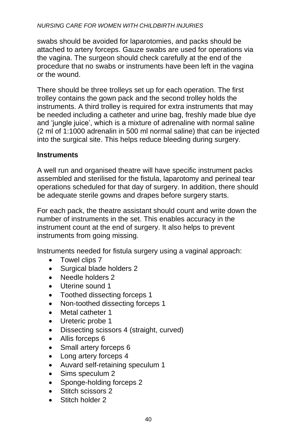swabs should be avoided for laparotomies, and packs should be attached to artery forceps. Gauze swabs are used for operations via the vagina. The surgeon should check carefully at the end of the procedure that no swabs or instruments have been left in the vagina or the wound.

There should be three trolleys set up for each operation. The first trolley contains the gown pack and the second trolley holds the instruments. A third trolley is required for extra instruments that may be needed including a catheter and urine bag, freshly made blue dye and 'jungle juice', which is a mixture of adrenaline with normal saline (2 ml of 1:1000 adrenalin in 500 ml normal saline) that can be injected into the surgical site. This helps reduce bleeding during surgery.

#### **Instruments**

A well run and organised theatre will have specific instrument packs assembled and sterilised for the fistula, laparotomy and perineal tear operations scheduled for that day of surgery. In addition, there should be adequate sterile gowns and drapes before surgery starts.

For each pack, the theatre assistant should count and write down the number of instruments in the set. This enables accuracy in the instrument count at the end of surgery. It also helps to prevent instruments from going missing.

Instruments needed for fistula surgery using a vaginal approach:

- Towel clips 7
- Surgical blade holders 2
- Needle holders 2
- Uterine sound 1
- Toothed dissecting forceps 1
- Non-toothed dissecting forceps 1
- Metal catheter 1
- Ureteric probe 1
- Dissecting scissors 4 (straight, curved)
- Allis forceps 6
- Small artery forceps 6
- Long artery forceps 4
- Auvard self-retaining speculum 1
- Sims speculum 2
- Sponge-holding forceps 2
- Stitch scissors 2
- Stitch holder 2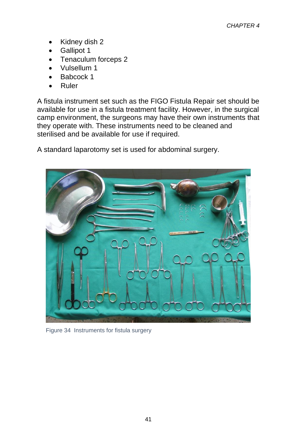- Kidney dish 2
- Gallipot 1
- Tenaculum forceps 2
- Vulsellum 1
- Babcock 1
- Ruler

A fistula instrument set such as the FIGO Fistula Repair set should be available for use in a fistula treatment facility. However, in the surgical camp environment, the surgeons may have their own instruments that they operate with. These instruments need to be cleaned and sterilised and be available for use if required.

A standard laparotomy set is used for abdominal surgery.



Figure 34 Instruments for fistula surgery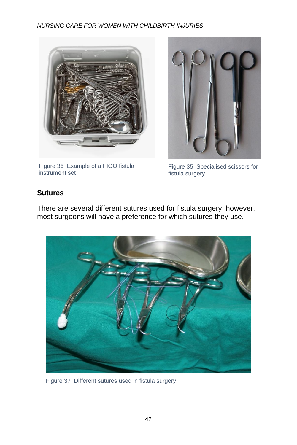

Figure 36 Example of a FIGO fistula instrument set



Figure 35 Specialised scissors for fistula surgery

# **Sutures**

There are several different sutures used for fistula surgery; however, most surgeons will have a preference for which sutures they use.



Figure 37 Different sutures used in fistula surgery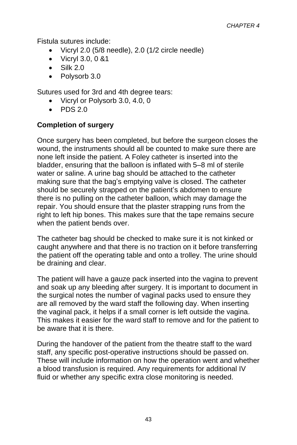Fistula sutures include:

- Vicryl 2.0 (5/8 needle), 2.0 (1/2 circle needle)
- Vicryl 3.0, 0 &1
- $\bullet$  Silk 2.0
- Polysorb 3.0

Sutures used for 3rd and 4th degree tears:

- Vicryl or Polysorb 3.0, 4.0, 0
- $\bullet$  PDS 2.0

# **Completion of surgery**

Once surgery has been completed, but before the surgeon closes the wound, the instruments should all be counted to make sure there are none left inside the patient. A Foley catheter is inserted into the bladder, ensuring that the balloon is inflated with 5–8 ml of sterile water or saline. A urine bag should be attached to the catheter making sure that the bag's emptying valve is closed. The catheter should be securely strapped on the patient's abdomen to ensure there is no pulling on the catheter balloon, which may damage the repair. You should ensure that the plaster strapping runs from the right to left hip bones. This makes sure that the tape remains secure when the patient bends over.

The catheter bag should be checked to make sure it is not kinked or caught anywhere and that there is no traction on it before transferring the patient off the operating table and onto a trolley. The urine should be draining and clear.

The patient will have a gauze pack inserted into the vagina to prevent and soak up any bleeding after surgery. It is important to document in the surgical notes the number of vaginal packs used to ensure they are all removed by the ward staff the following day. When inserting the vaginal pack, it helps if a small corner is left outside the vagina. This makes it easier for the ward staff to remove and for the patient to be aware that it is there.

During the handover of the patient from the theatre staff to the ward staff, any specific post-operative instructions should be passed on. These will include information on how the operation went and whether a blood transfusion is required. Any requirements for additional IV fluid or whether any specific extra close monitoring is needed.